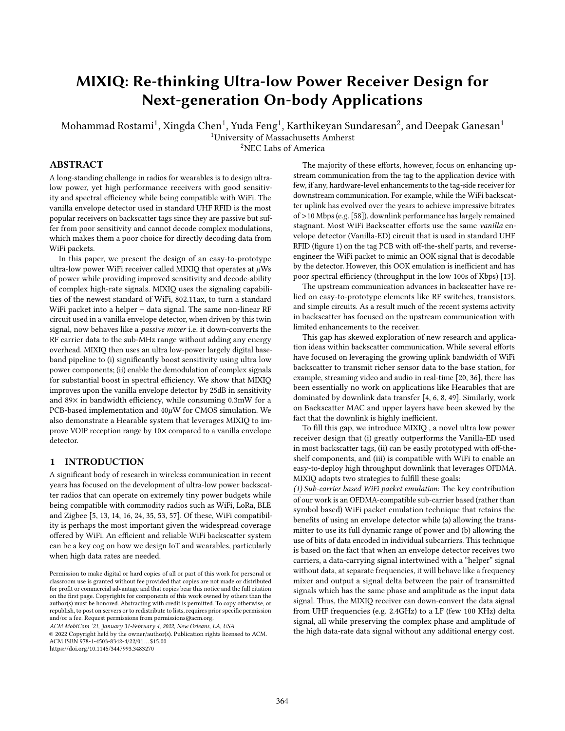# MIXIQ: Re-thinking Ultra-low Power Receiver Design for Next-generation On-body Applications

Mohammad Rostami $^1$ , Xingda Chen $^1$ , Yuda Feng $^1$ , Karthikeyan Sundaresan $^2$ , and Deepak Ganesan $^1$ 

<sup>1</sup>University of Massachusetts Amherst

<sup>2</sup>NEC Labs of America

# ABSTRACT

A long-standing challenge in radios for wearables is to design ultralow power, yet high performance receivers with good sensitivity and spectral efficiency while being compatible with WiFi. The vanilla envelope detector used in standard UHF RFID is the most popular receivers on backscatter tags since they are passive but suffer from poor sensitivity and cannot decode complex modulations, which makes them a poor choice for directly decoding data from WiFi packets.

In this paper, we present the design of an easy-to-prototype ultra-low power WiFi receiver called MIXIQ that operates at  $\mu$ Ws of power while providing improved sensitivity and decode-ability of complex high-rate signals. MIXIQ uses the signaling capabilities of the newest standard of WiFi, 802.11ax, to turn a standard WiFi packet into a helper + data signal. The same non-linear RF circuit used in a vanilla envelope detector, when driven by this twin signal, now behaves like a passive mixer i.e. it down-converts the RF carrier data to the sub-MHz range without adding any energy overhead. MIXIQ then uses an ultra low-power largely digital baseband pipeline to (i) significantly boost sensitivity using ultra low power components; (ii) enable the demodulation of complex signals for substantial boost in spectral efficiency. We show that MIXIQ improves upon the vanilla envelope detector by 25dB in sensitivity and 89× in bandwidth efficiency, while consuming 0.3mW for a PCB-based implementation and  $40\mu$ W for CMOS simulation. We also demonstrate a Hearable system that leverages MIXIQ to improve VOIP reception range by 10× compared to a vanilla envelope detector.

# 1 INTRODUCTION

A significant body of research in wireless communication in recent years has focused on the development of ultra-low power backscatter radios that can operate on extremely tiny power budgets while being compatible with commodity radios such as WiFi, LoRa, BLE and Zigbee [\[5,](#page-12-0) [13,](#page-12-1) [14,](#page-12-2) [16,](#page-12-3) [24,](#page-12-4) [35,](#page-12-5) [53,](#page-12-6) [57\]](#page-13-0). Of these, WiFi compatibility is perhaps the most important given the widespread coverage offered by WiFi. An efficient and reliable WiFi backscatter system can be a key cog on how we design IoT and wearables, particularly when high data rates are needed.

ACM MobiCom '21, January 31-February 4, 2022, New Orleans, LA, USA

© 2022 Copyright held by the owner/author(s). Publication rights licensed to ACM. ACM ISBN 978-1-4503-8342-4/22/01...\$15.00

<https://doi.org/10.1145/3447993.3483270>

The majority of these efforts, however, focus on enhancing upstream communication from the tag to the application device with few, if any, hardware-level enhancements to the tag-side receiver for downstream communication. For example, while the WiFi backscatter uplink has evolved over the years to achieve impressive bitrates of >10 Mbps (e.g. [\[58\]](#page-13-1)), downlink performance has largely remained stagnant. Most WiFi Backscatter efforts use the same vanilla envelope detector (Vanilla-ED) circuit that is used in standard UHF RFID (figure [1\)](#page-1-0) on the tag PCB with off-the-shelf parts, and reverseengineer the WiFi packet to mimic an OOK signal that is decodable by the detector. However, this OOK emulation is inefficient and has poor spectral efficiency (throughput in the low 100s of Kbps) [\[13\]](#page-12-1).

The upstream communication advances in backscatter have relied on easy-to-prototype elements like RF switches, transistors, and simple circuits. As a result much of the recent systems activity in backscatter has focused on the upstream communication with limited enhancements to the receiver.

This gap has skewed exploration of new research and application ideas within backscatter communication. While several efforts have focused on leveraging the growing uplink bandwidth of WiFi backscatter to transmit richer sensor data to the base station, for example, streaming video and audio in real-time [\[20,](#page-12-7) [36\]](#page-12-8), there has been essentially no work on applications like Hearables that are dominated by downlink data transfer [\[4,](#page-12-9) [6,](#page-12-10) [8,](#page-12-11) [49\]](#page-12-12). Similarly, work on Backscatter MAC and upper layers have been skewed by the fact that the downlink is highly inefficient.

To fill this gap, we introduce MIXIQ , a novel ultra low power receiver design that (i) greatly outperforms the Vanilla-ED used in most backscatter tags, (ii) can be easily prototyped with off-theshelf components, and (iii) is compatible with WiFi to enable an easy-to-deploy high throughput downlink that leverages OFDMA. MIXIQ adopts two strategies to fulfill these goals:

(1) Sub-carrier based WiFi packet emulation: The key contribution of our work is an OFDMA-compatible sub-carrier based (rather than symbol based) WiFi packet emulation technique that retains the benefits of using an envelope detector while (a) allowing the transmitter to use its full dynamic range of power and (b) allowing the use of bits of data encoded in individual subcarriers. This technique is based on the fact that when an envelope detector receives two carriers, a data-carrying signal intertwined with a "helper" signal without data, at separate frequencies, it will behave like a frequency mixer and output a signal delta between the pair of transmitted signals which has the same phase and amplitude as the input data signal. Thus, the MIXIQ receiver can down-convert the data signal from UHF frequencies (e.g. 2.4GHz) to a LF (few 100 KHz) delta signal, all while preserving the complex phase and amplitude of the high data-rate data signal without any additional energy cost.

Permission to make digital or hard copies of all or part of this work for personal or classroom use is granted without fee provided that copies are not made or distributed for profit or commercial advantage and that copies bear this notice and the full citation on the first page. Copyrights for components of this work owned by others than the author(s) must be honored. Abstracting with credit is permitted. To copy otherwise, or republish, to post on servers or to redistribute to lists, requires prior specific permission and/or a fee. Request permissions from permissions@acm.org.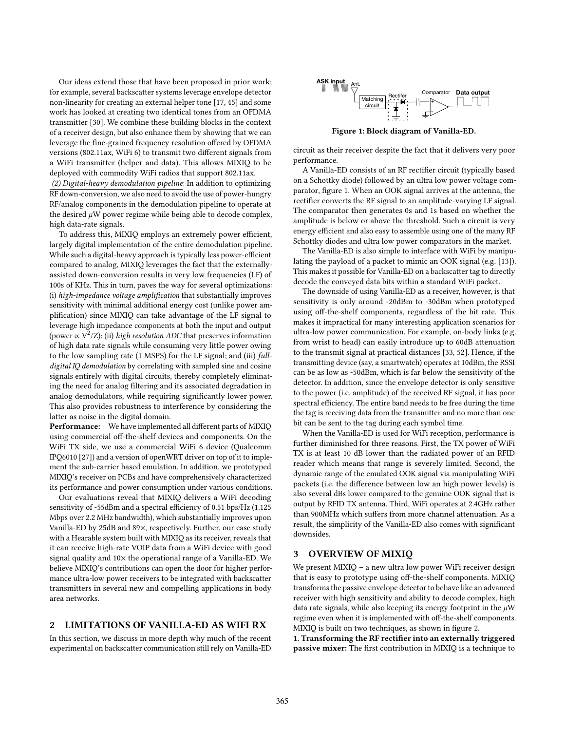Our ideas extend those that have been proposed in prior work; for example, several backscatter systems leverage envelope detector non-linearity for creating an external helper tone [\[17,](#page-12-13) [45\]](#page-12-14) and some work has looked at creating two identical tones from an OFDMA transmitter [\[30\]](#page-12-15). We combine these building blocks in the context of a receiver design, but also enhance them by showing that we can leverage the fine-grained frequency resolution offered by OFDMA versions (802.11ax, WiFi 6) to transmit two different signals from a WiFi transmitter (helper and data). This allows MIXIQ to be deployed with commodity WiFi radios that support 802.11ax.

(2) Digital-heavy demodulation pipeline: In addition to optimizing RF down-conversion, we also need to avoid the use of power-hungry RF/analog components in the demodulation pipeline to operate at the desired  $\mu$ W power regime while being able to decode complex, high data-rate signals.

To address this, MIXIQ employs an extremely power efficient, largely digital implementation of the entire demodulation pipeline. While such a digital-heavy approach is typically less power-efficient compared to analog, MIXIQ leverages the fact that the externallyassisted down-conversion results in very low frequencies (LF) of 100s of KHz. This in turn, paves the way for several optimizations: (i) high-impedance voltage amplification that substantially improves sensitivity with minimal additional energy cost (unlike power amplification) since MIXIQ can take advantage of the LF signal to leverage high impedance components at both the input and output (power  $\propto$  V<sup>2</sup>/Z); (ii) high resolution ADC that preserves information of high data rate signals while consuming very little power owing to the low sampling rate (1 MSPS) for the LF signal; and (iii) fulldigital IQ demodulation by correlating with sampled sine and cosine signals entirely with digital circuits, thereby completely eliminating the need for analog filtering and its associated degradation in analog demodulators, while requiring significantly lower power. This also provides robustness to interference by considering the latter as noise in the digital domain.

Performance: We have implemented all different parts of MIXIQ using commercial off-the-shelf devices and components. On the WiFi TX side, we use a commercial WiFi 6 device (Qualcomm IPQ6010 [\[27\]](#page-12-16)) and a version of openWRT driver on top of it to implement the sub-carrier based emulation. In addition, we prototyped MIXIQ's receiver on PCBs and have comprehensively characterized its performance and power consumption under various conditions.

Our evaluations reveal that MIXIQ delivers a WiFi decoding sensitivity of -55dBm and a spectral efficiency of 0.51 bps/Hz (1.125 Mbps over 2.2 MHz bandwidth), which substantially improves upon Vanilla-ED by 25dB and 89×, respectively. Further, our case study with a Hearable system built with MIXIQ as its receiver, reveals that it can receive high-rate VOIP data from a WiFi device with good signal quality and  $10\times$  the operational range of a Vanilla-ED. We believe MIXIQ's contributions can open the door for higher performance ultra-low power receivers to be integrated with backscatter transmitters in several new and compelling applications in body area networks.

## <span id="page-1-1"></span>2 LIMITATIONS OF VANILLA-ED AS WIFI RX

In this section, we discuss in more depth why much of the recent experimental on backscatter communication still rely on Vanilla-ED

<span id="page-1-0"></span>

Figure 1: Block diagram of Vanilla-ED.

circuit as their receiver despite the fact that it delivers very poor performance.

A Vanilla-ED consists of an RF rectifier circuit (typically based on a Schottky diode) followed by an ultra low power voltage comparator, figure [1.](#page-1-0) When an OOK signal arrives at the antenna, the rectifier converts the RF signal to an amplitude-varying LF signal. The comparator then generates 0s and 1s based on whether the amplitude is below or above the threshold. Such a circuit is very energy efficient and also easy to assemble using one of the many RF Schottky diodes and ultra low power comparators in the market.

The Vanilla-ED is also simple to interface with WiFi by manipulating the payload of a packet to mimic an OOK signal (e.g. [\[13\]](#page-12-1)). This makes it possible for Vanilla-ED on a backscatter tag to directly decode the conveyed data bits within a standard WiFi packet.

The downside of using Vanilla-ED as a receiver, however, is that sensitivity is only around -20dBm to -30dBm when prototyped using off-the-shelf components, regardless of the bit rate. This makes it impractical for many interesting application scenarios for ultra-low power communication. For example, on-body links (e.g. from wrist to head) can easily introduce up to 60dB attenuation to the transmit signal at practical distances [\[33,](#page-12-17) [52\]](#page-12-18). Hence, if the transmitting device (say, a smartwatch) operates at 10dBm, the RSSI can be as low as -50dBm, which is far below the sensitivity of the detector. In addition, since the envelope detector is only sensitive to the power (i.e. amplitude) of the received RF signal, it has poor spectral efficiency. The entire band needs to be free during the time the tag is receiving data from the transmitter and no more than one bit can be sent to the tag during each symbol time.

When the Vanilla-ED is used for WiFi reception, performance is further diminished for three reasons. First, the TX power of WiFi TX is at least 10 dB lower than the radiated power of an RFID reader which means that range is severely limited. Second, the dynamic range of the emulated OOK signal via manipulating WiFi packets (i.e. the difference between low an high power levels) is also several dBs lower compared to the genuine OOK signal that is output by RFID TX antenna. Third, WiFi operates at 2.4GHz rather than 900MHz which suffers from more channel attenuation. As a result, the simplicity of the Vanilla-ED also comes with significant downsides.

## 3 OVERVIEW OF MIXIQ

We present MIXIQ - a new ultra low power WiFi receiver design that is easy to prototype using off-the-shelf components. MIXIQ transforms the passive envelope detector to behave like an advanced receiver with high sensitivity and ability to decode complex, high data rate signals, while also keeping its energy footprint in the  $\mu$ W regime even when it is implemented with off-the-shelf components. MIXIQ is built on two techniques, as shown in figure [2.](#page-2-0)

1. Transforming the RF rectifier into an externally triggered passive mixer: The first contribution in MIXIQ is a technique to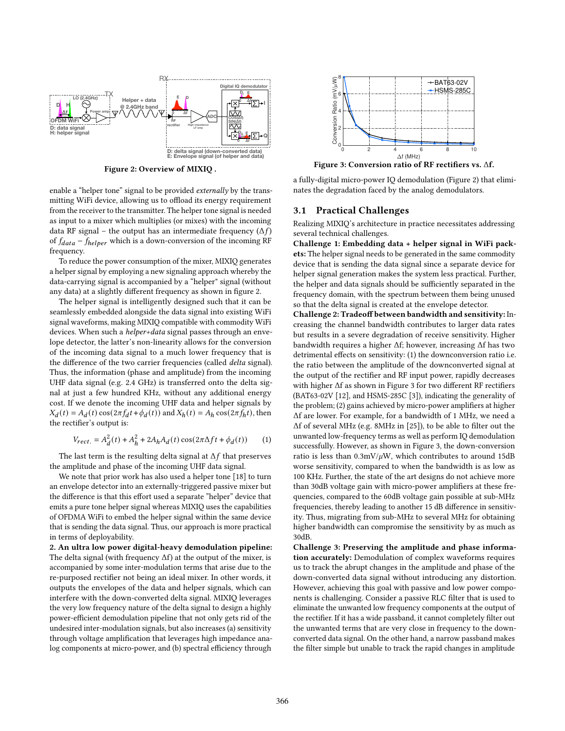<span id="page-2-0"></span>

Figure 2: Overview of MIXIQ .

enable a "helper tone" signal to be provided externally by the transmitting WiFi device, allowing us to offload its energy requirement from the receiver to the transmitter. The helper tone signal is needed as input to a mixer which multiplies (or mixes) with the incoming data RF signal – the output has an intermediate frequency  $(\Delta f)$ of  $f_{data}$  –  $f_{helper}$  which is a down-conversion of the incoming RF frequency.

To reduce the power consumption of the mixer, MIXIQ generates a helper signal by employing a new signaling approach whereby the data-carrying signal is accompanied by a "helper" signal (without any data) at a slightly different frequency as shown in figure [2.](#page-2-0)

The helper signal is intelligently designed such that it can be seamlessly embedded alongside the data signal into existing WiFi signal waveforms, making MIXIQ compatible with commodity WiFi devices. When such a *helper+data* signal passes through an envelope detector, the latter's non-linearity allows for the conversion of the incoming data signal to a much lower frequency that is the difference of the two carrier frequencies (called delta signal). Thus, the information (phase and amplitude) from the incoming UHF data signal (e.g. 2.4 GHz) is transferred onto the delta signal at just a few hundred KHz, without any additional energy cost. If we denote the incoming UHF data and helper signals by  $X_d(t) = A_d(t) \cos(2\pi f_d t + \phi_d(t))$  and  $X_h(t) = A_h \cos(2\pi f_h t)$ , then the rectifier's output is:

<span id="page-2-2"></span>
$$
V_{rect.} = A_d^2(t) + A_h^2 + 2A_h A_d(t) \cos(2\pi \Delta ft + \phi_d(t))
$$
 (1)

The last term is the resulting delta signal at  $\Delta f$  that preserves the amplitude and phase of the incoming UHF data signal.

We note that prior work has also used a helper tone [\[18\]](#page-12-19) to turn an envelope detector into an externally-triggered passive mixer but the difference is that this effort used a separate "helper" device that emits a pure tone helper signal whereas MIXIQ uses the capabilities of OFDMA WiFi to embed the helper signal within the same device that is sending the data signal. Thus, our approach is more practical in terms of deployability.

2. An ultra low power digital-heavy demodulation pipeline: The delta signal (with frequency Δf) at the output of the mixer, is accompanied by some inter-modulation terms that arise due to the re-purposed rectifier not being an ideal mixer. In other words, it outputs the envelopes of the data and helper signals, which can interfere with the down-converted delta signal. MIXIQ leverages the very low frequency nature of the delta signal to design a highly power-efficient demodulation pipeline that not only gets rid of the undesired inter-modulation signals, but also increases (a) sensitivity through voltage amplification that leverages high impedance analog components at micro-power, and (b) spectral efficiency through

<span id="page-2-1"></span>

Figure 3: Conversion ratio of RF rectifiers vs. Δf.

a fully-digital micro-power IQ demodulation (Figure [2\)](#page-2-0) that eliminates the degradation faced by the analog demodulators.

#### <span id="page-2-3"></span>3.1 Practical Challenges

Realizing MIXIQ's architecture in practice necessitates addressing several technical challenges.

Challenge 1: Embedding data + helper signal in WiFi packets: The helper signal needs to be generated in the same commodity device that is sending the data signal since a separate device for helper signal generation makes the system less practical. Further, the helper and data signals should be sufficiently separated in the frequency domain, with the spectrum between them being unused so that the delta signal is created at the envelope detector.

Challenge 2: Tradeoff between bandwidth and sensitivity: Increasing the channel bandwidth contributes to larger data rates but results in a severe degradation of receive sensitivity. Higher bandwidth requires a higher Δf; however, increasing Δf has two detrimental effects on sensitivity: (1) the downconversion ratio i.e. the ratio between the amplitude of the downconverted signal at the output of the rectifier and RF input power, rapidly decreases with higher Δf as shown in Figure [3](#page-2-1) for two different RF rectifiers (BAT63-02V [\[12\]](#page-12-20), and HSMS-285C [\[3\]](#page-12-21)), indicating the generality of the problem; (2) gains achieved by micro-power amplifiers at higher Δf are lower. For example, for a bandwidth of 1 MHz, we need a Δf of several MHz (e.g. 8MHz in [\[25\]](#page-12-22)), to be able to filter out the unwanted low-frequency terms as well as perform IQ demodulation successfully. However, as shown in Figure [3,](#page-2-1) the down-conversion ratio is less than  $0.3$ mV/ $\mu$ W, which contributes to around 15dB worse sensitivity, compared to when the bandwidth is as low as 100 KHz. Further, the state of the art designs do not achieve more than 30dB voltage gain with micro-power amplifiers at these frequencies, compared to the 60dB voltage gain possible at sub-MHz frequencies, thereby leading to another 15 dB difference in sensitivity. Thus, migrating from sub-MHz to several MHz for obtaining higher bandwidth can compromise the sensitivity by as much as 30dB.

Challenge 3: Preserving the amplitude and phase information accurately: Demodulation of complex waveforms requires us to track the abrupt changes in the amplitude and phase of the down-converted data signal without introducing any distortion. However, achieving this goal with passive and low power components is challenging. Consider a passive RLC filter that is used to eliminate the unwanted low frequency components at the output of the rectifier. If it has a wide passband, it cannot completely filter out the unwanted terms that are very close in frequency to the downconverted data signal. On the other hand, a narrow passband makes the filter simple but unable to track the rapid changes in amplitude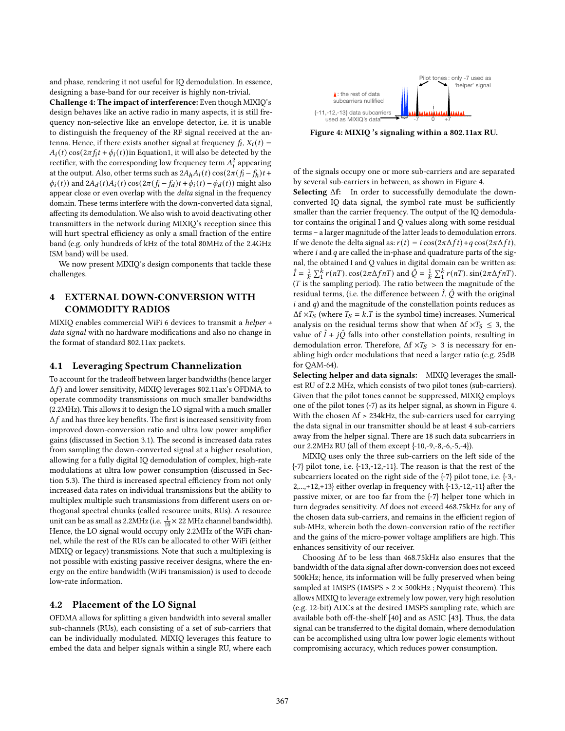and phase, rendering it not useful for IQ demodulation. In essence, designing a base-band for our receiver is highly non-trivial.

Challenge 4: The impact of interference: Even though MIXIQ's design behaves like an active radio in many aspects, it is still frequency non-selective like an envelope detector, i.e. it is unable to distinguish the frequency of the RF signal received at the antenna. Hence, if there exists another signal at frequency  $f_i$ ,  $X_i(t)$  =  $A_i(t)$  cos( $2\pi f_i t + \phi_i(t)$ )in Equatio[n1,](#page-2-2) it will also be detected by the rectifier, with the corresponding low frequency term  $A_i^2$  appearing at the output. Also, other terms such as  $2A_hA_i(t) \cos(2\pi (f_i - f_h)t +$  $\phi_i(t)$  and  $2A_d(t)A_i(t)\cos(2\pi (f_i - f_d)t + \phi_i(t) - \phi_d(t))$  might also appear close or even overlap with the delta signal in the frequency domain. These terms interfere with the down-converted data signal, affecting its demodulation. We also wish to avoid deactivating other transmitters in the network during MIXIQ's reception since this will hurt spectral efficiency as only a small fraction of the entire band (e.g. only hundreds of kHz of the total 80MHz of the 2.4GHz ISM band) will be used.

We now present MIXIQ's design components that tackle these challenges.

## 4 EXTERNAL DOWN-CONVERSION WITH COMMODITY RADIOS

MIXIQ enables commercial WiFi 6 devices to transmit a helper + data signal with no hardware modifications and also no change in the format of standard 802.11ax packets.

#### 4.1 Leveraging Spectrum Channelization

To account for the tradeoff between larger bandwidths (hence larger  $\Delta f$ ) and lower sensitivity, MIXIQ leverages 802.11ax's OFDMA to operate commodity transmissions on much smaller bandwidths (2.2MHz). This allows it to design the LO signal with a much smaller  $\Delta f$  and has three key benefits. The first is increased sensitivity from improved down-conversion ratio and ultra low power amplifier gains (discussed in Section [3.1\)](#page-2-3). The second is increased data rates from sampling the down-converted signal at a higher resolution, allowing for a fully digital IQ demodulation of complex, high-rate modulations at ultra low power consumption (discussed in Section [5.3\)](#page-5-0). The third is increased spectral efficiency from not only increased data rates on individual transmissions but the ability to multiplex multiple such transmissions from different users on orthogonal spectral chunks (called resource units, RUs). A resource unit can be as small as 2.2MHz (i.e.  $\frac{1}{10} \times 22$  MHz channel bandwidth). Hence, the LO signal would occupy only 2.2MHz of the WiFi channel, while the rest of the RUs can be allocated to other WiFi (either MIXIQ or legacy) transmissions. Note that such a multiplexing is not possible with existing passive receiver designs, where the energy on the entire bandwidth (WiFi transmission) is used to decode low-rate information.

#### <span id="page-3-1"></span>4.2 Placement of the LO Signal

OFDMA allows for splitting a given bandwidth into several smaller sub-channels (RUs), each consisting of a set of sub-carriers that can be individually modulated. MIXIQ leverages this feature to embed the data and helper signals within a single RU, where each

<span id="page-3-0"></span>

Figure 4: MIXIQ 's signaling within a 802.11ax RU.

of the signals occupy one or more sub-carriers and are separated by several sub-carriers in between, as shown in Figure [4.](#page-3-0)

Selecting  $Δf$ : In order to successfully demodulate the downconverted IQ data signal, the symbol rate must be sufficiently smaller than the carrier frequency. The output of the IQ demodulator contains the original I and Q values along with some residual terms - a larger magnitude of the latter leads to demodulation errors. If we denote the delta signal as:  $r(t) = i \cos(2\pi \Delta f t) + q \cos(2\pi \Delta f t)$ , where  $i$  and  $q$  are called the in-phase and quadrature parts of the signal, the obtained I and Q values in digital domain can be written as:  $\hat{I} = \frac{1}{k} \sum_{1}^{k} r(nT) \cdot \cos(2\pi \Delta f nT)$  and  $\hat{Q} = \frac{1}{k} \sum_{1}^{k} r(nT) \cdot \sin(2\pi \Delta f nT)$ .  $(T$  is the sampling period). The ratio between the magnitude of the residual terms, (i.e. the difference between  $\hat{I}$ ,  $\hat{Q}$  with the original  $i$  and  $q$ ) and the magnitude of the constellation points reduces as  $\Delta f \times T_S$  (where  $T_S = k \cdot T$  is the symbol time) increases. Numerical analysis on the residual terms show that when  $\Delta f \times T_S \leq 3$ , the value of  $\hat{I} + j\hat{Q}$  falls into other constellation points, resulting in demodulation error. Therefore,  $\Delta f \times T_S > 3$  is necessary for enabling high order modulations that need a larger ratio (e.g. 25dB for QAM-64).

Selecting helper and data signals: MIXIQ leverages the smallest RU of 2.2 MHz, which consists of two pilot tones (sub-carriers). Given that the pilot tones cannot be suppressed, MIXIQ employs one of the pilot tones (-7) as its helper signal, as shown in Figure [4.](#page-3-0) With the chosen  $\Delta f$  > 234kHz, the sub-carriers used for carrying the data signal in our transmitter should be at least 4 sub-carriers away from the helper signal. There are 18 such data subcarriers in our 2.2MHz RU (all of them except {-10,-9,-8,-6,-5,-4}).

MIXIQ uses only the three sub-carriers on the left side of the {-7} pilot tone, i.e. {-13,-12,-11}. The reason is that the rest of the subcarriers located on the right side of the {-7} pilot tone, i.e. {-3,- 2,...,+12,+13} either overlap in frequency with {-13,-12,-11} after the passive mixer, or are too far from the {-7} helper tone which in turn degrades sensitivity. Δf does not exceed 468.75kHz for any of the chosen data sub-carriers, and remains in the efficient region of sub-MHz, wherein both the down-conversion ratio of the rectifier and the gains of the micro-power voltage amplifiers are high. This enhances sensitivity of our receiver.

Choosing Δf to be less than 468.75kHz also ensures that the bandwidth of the data signal after down-conversion does not exceed 500kHz; hence, its information will be fully preserved when being sampled at 1MSPS (1MSPS  $> 2 \times 500$ kHz; Nyquist theorem). This allows MIXIQ to leverage extremely low power, very high resolution (e.g. 12-bit) ADCs at the desired 1MSPS sampling rate, which are available both off-the-shelf [\[40\]](#page-12-23) and as ASIC [\[43\]](#page-12-24). Thus, the data signal can be transferred to the digital domain, where demodulation can be accomplished using ultra low power logic elements without compromising accuracy, which reduces power consumption.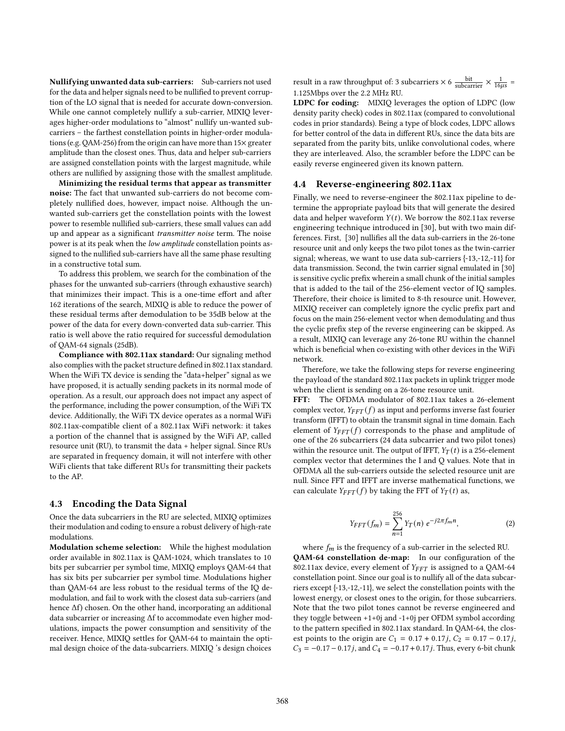Nullifying unwanted data sub-carriers: Sub-carriers not used for the data and helper signals need to be nullified to prevent corruption of the LO signal that is needed for accurate down-conversion. While one cannot completely nullify a sub-carrier, MIXIQ leverages higher-order modulations to "almost" nullify un-wanted subcarriers - the farthest constellation points in higher-order modulations (e.g. QAM-256) from the origin can have more than 15× greater amplitude than the closest ones. Thus, data and helper sub-carriers are assigned constellation points with the largest magnitude, while others are nullified by assigning those with the smallest amplitude.

Minimizing the residual terms that appear as transmitter noise: The fact that unwanted sub-carriers do not become completely nullified does, however, impact noise. Although the unwanted sub-carriers get the constellation points with the lowest power to resemble nullified sub-carriers, these small values can add up and appear as a significant transmitter noise term. The noise power is at its peak when the low amplitude constellation points assigned to the nullified sub-carriers have all the same phase resulting in a constructive total sum.

To address this problem, we search for the combination of the phases for the unwanted sub-carriers (through exhaustive search) that minimizes their impact. This is a one-time effort and after 162 iterations of the search, MIXIQ is able to reduce the power of these residual terms after demodulation to be 35dB below at the power of the data for every down-converted data sub-carrier. This ratio is well above the ratio required for successful demodulation of QAM-64 signals (25dB).

Compliance with 802.11ax standard: Our signaling method also complies with the packet structure defined in 802.11ax standard. When the WiFi TX device is sending the "data+helper" signal as we have proposed, it is actually sending packets in its normal mode of operation. As a result, our approach does not impact any aspect of the performance, including the power consumption, of the WiFi TX device. Additionally, the WiFi TX device operates as a normal WiFi 802.11ax-compatible client of a 802.11ax WiFi network: it takes a portion of the channel that is assigned by the WiFi AP, called resource unit (RU), to transmit the data + helper signal. Since RUs are separated in frequency domain, it will not interfere with other WiFi clients that take different RUs for transmitting their packets to the AP.

#### 4.3 Encoding the Data Signal

Once the data subcarriers in the RU are selected, MIXIQ optimizes their modulation and coding to ensure a robust delivery of high-rate modulations.

Modulation scheme selection: While the highest modulation order available in 802.11ax is QAM-1024, which translates to 10 bits per subcarrier per symbol time, MIXIQ employs QAM-64 that has six bits per subcarrier per symbol time. Modulations higher than QAM-64 are less robust to the residual terms of the IQ demodulation, and fail to work with the closest data sub-carriers (and hence Δf) chosen. On the other hand, incorporating an additional data subcarrier or increasing Δf to accommodate even higher modulations, impacts the power consumption and sensitivity of the receiver. Hence, MIXIQ settles for QAM-64 to maintain the optimal design choice of the data-subcarriers. MIXIQ 's design choices

result in a raw throughput of: 3 subcarriers  $\times$  6  $\frac{\text{bit}}{\text{subcarrier}} \times \frac{1}{16\mu s}$  = 1.125Mbps over the 2.2 MHz RU.

LDPC for coding: MIXIQ leverages the option of LDPC (low density parity check) codes in 802.11ax (compared to convolutional codes in prior standards). Being a type of block codes, LDPC allows for better control of the data in different RUs, since the data bits are separated from the parity bits, unlike convolutional codes, where they are interleaved. Also, the scrambler before the LDPC can be easily reverse engineered given its known pattern.

## 4.4 Reverse-engineering 802.11ax

Finally, we need to reverse-engineer the 802.11ax pipeline to determine the appropriate payload bits that will generate the desired data and helper waveform  $Y(t)$ . We borrow the 802.11ax reverse engineering technique introduced in [\[30\]](#page-12-15), but with two main differences. First, [\[30\]](#page-12-15) nullifies all the data sub-carriers in the 26-tone resource unit and only keeps the two pilot tones as the twin-carrier signal; whereas, we want to use data sub-carriers {-13,-12,-11} for data transmission. Second, the twin carrier signal emulated in [\[30\]](#page-12-15) is sensitive cyclic prefix wherein a small chunk of the initial samples that is added to the tail of the 256-element vector of IQ samples. Therefore, their choice is limited to 8-th resource unit. However, MIXIQ receiver can completely ignore the cyclic prefix part and focus on the main 256-element vector when demodulating and thus the cyclic prefix step of the reverse engineering can be skipped. As a result, MIXIQ can leverage any 26-tone RU within the channel which is beneficial when co-existing with other devices in the WiFi network.

Therefore, we take the following steps for reverse engineering the payload of the standard 802.11ax packets in uplink trigger mode when the client is sending on a 26-tone resource unit.

FFT: The OFDMA modulator of 802.11ax takes a 26-element complex vector,  $Y_{FFT}(f)$  as input and performs inverse fast fourier transform (IFFT) to obtain the transmit signal in time domain. Each element of  $Y_{FFT}(f)$  corresponds to the phase and amplitude of one of the 26 subcarriers (24 data subcarrier and two pilot tones) within the resource unit. The output of IFFT,  $Y_T(t)$  is a 256-element complex vector that determines the I and Q values. Note that in OFDMA all the sub-carriers outside the selected resource unit are null. Since FFT and IFFT are inverse mathematical functions, we can calculate  $Y_{FFT}(f)$  by taking the FFT of  $Y_T(t)$  as,

$$
Y_{FFT}(f_m) = \sum_{n=1}^{256} Y_T(n) e^{-j2\pi f_m n},
$$
 (2)

where  $f_m$  is the frequency of a sub-carrier in the selected RU. QAM-64 constellation de-map: In our configuration of the 802.11ax device, every element of  $Y_{FFT}$  is assigned to a QAM-64 constellation point. Since our goal is to nullify all of the data subcarriers except {-13,-12,-11}, we select the constellation points with the lowest energy, or closest ones to the origin, for those subcarriers. Note that the two pilot tones cannot be reverse engineered and they toggle between +1+0j and -1+0j per OFDM symbol according to the pattern specified in 802.11ax standard. In QAM-64, the closest points to the origin are  $C_1 = 0.17 + 0.17j$ ,  $C_2 = 0.17 - 0.17j$ ,  $C_3 = -0.17 - 0.17j$ , and  $C_4 = -0.17 + 0.17j$ . Thus, every 6-bit chunk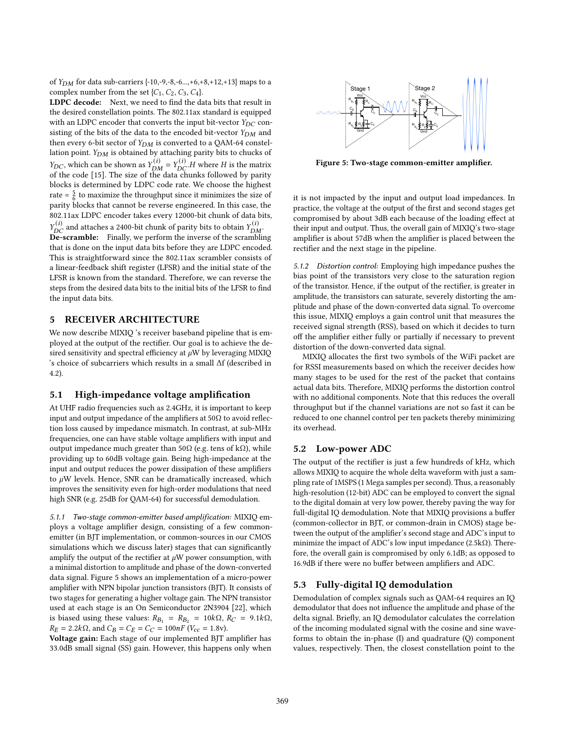of  $Y_{DM}$  for data sub-carriers {-10,-9,-8,-6...,+6,+8,+12,+13} maps to a complex number from the set  $\{C_1, C_2, C_3, C_4\}$ .

LDPC decode: Next, we need to find the data bits that result in the desired constellation points. The 802.11ax standard is equipped with an LDPC encoder that converts the input bit-vector  $Y_{DC}$  consisting of the bits of the data to the encoded bit-vector  $Y_{DM}$  and then every 6-bit sector of  $Y_{DM}$  is converted to a QAM-64 constellation point.  $Y_{DM}$  is obtained by attaching parity bits to chucks of  $Y_{DC}$ , which can be shown as  $Y_{DM}^{(i)} = Y_{DC}^{(i)}$ . H where H is the matrix of the code [\[15\]](#page-12-25). The size of the data chunks followed by parity blocks is determined by LDPC code rate. We choose the highest rate =  $\frac{5}{6}$  to maximize the throughput since it minimizes the size of parity blocks that cannot be reverse engineered. In this case, the 802.11ax LDPC encoder takes every 12000-bit chunk of data bits,  $Y_{DC}^{(i)}$  and attaches a 2400-bit chunk of parity bits to obtain  $Y_{DM}^{(i)}$ .

De-scramble: Finally, we perform the inverse of the scrambling that is done on the input data bits before they are LDPC encoded. This is straightforward since the 802.11ax scrambler consists of a linear-feedback shift register (LFSR) and the initial state of the LFSR is known from the standard. Therefore, we can reverse the steps from the desired data bits to the initial bits of the LFSR to find the input data bits.

# 5 RECEIVER ARCHITECTURE

We now describe MIXIQ 's receiver baseband pipeline that is employed at the output of the rectifier. Our goal is to achieve the desired sensitivity and spectral efficiency at  $\mu$ W by leveraging MIXIQ 's choice of subcarriers which results in a small Δf (described in [4.2\)](#page-3-1).

## <span id="page-5-3"></span>5.1 High-impedance voltage amplification

At UHF radio frequencies such as 2.4GHz, it is important to keep input and output impedance of the amplifiers at  $50\Omega$  to avoid reflection loss caused by impedance mismatch. In contrast, at sub-MHz frequencies, one can have stable voltage amplifiers with input and output impedance much greater than 50Ω (e.g. tens of kΩ), while providing up to 60dB voltage gain. Being high-impedance at the input and output reduces the power dissipation of these amplifiers to  $\mu$ W levels. Hence, SNR can be dramatically increased, which improves the sensitivity even for high-order modulations that need high SNR (e.g. 25dB for QAM-64) for successful demodulation.

5.1.1 Two-stage common-emitter based amplification: MIXIQ employs a voltage amplifier design, consisting of a few commonemitter (in BJT implementation, or common-sources in our CMOS simulations which we discuss later) stages that can significantly amplify the output of the rectifier at  $\mu$ W power consumption, with a minimal distortion to amplitude and phase of the down-converted data signal. Figure [5](#page-5-1) shows an implementation of a micro-power amplifier with NPN bipolar junction transistors (BJT). It consists of two stages for generating a higher voltage gain. The NPN transistor used at each stage is an On Semiconductor 2N3904 [\[22\]](#page-12-26), which is biased using these values:  $R_{B_1} = R_{B_2} = 10k\Omega$ ,  $R_C = 9.1k\Omega$ ,  $R_E = 2.2k\Omega$ , and  $C_B = C_E = C_C = 100nF$  (V<sub>cc</sub> = 1.8v).

Voltage gain: Each stage of our implemented BJT amplifier has 33.0dB small signal (SS) gain. However, this happens only when

<span id="page-5-1"></span>

Figure 5: Two-stage common-emitter amplifier.

it is not impacted by the input and output load impedances. In practice, the voltage at the output of the first and second stages get compromised by about 3dB each because of the loading effect at their input and output. Thus, the overall gain of MIXIQ's two-stage amplifier is about 57dB when the amplifier is placed between the rectifier and the next stage in the pipeline.

<span id="page-5-2"></span>5.1.2 Distortion control: Employing high impedance pushes the bias point of the transistors very close to the saturation region of the transistor. Hence, if the output of the rectifier, is greater in amplitude, the transistors can saturate, severely distorting the amplitude and phase of the down-converted data signal. To overcome this issue, MIXIQ employs a gain control unit that measures the received signal strength (RSS), based on which it decides to turn off the amplifier either fully or partially if necessary to prevent distortion of the down-converted data signal.

MIXIQ allocates the first two symbols of the WiFi packet are for RSSI measurements based on which the receiver decides how many stages to be used for the rest of the packet that contains actual data bits. Therefore, MIXIQ performs the distortion control with no additional components. Note that this reduces the overall throughput but if the channel variations are not so fast it can be reduced to one channel control per ten packets thereby minimizing its overhead.

## <span id="page-5-4"></span>5.2 Low-power ADC

The output of the rectifier is just a few hundreds of kHz, which allows MIXIQ to acquire the whole delta waveform with just a sampling rate of 1MSPS (1 Mega samples per second). Thus, a reasonably high-resolution (12-bit) ADC can be employed to convert the signal to the digital domain at very low power, thereby paving the way for full-digital IQ demodulation. Note that MIXIQ provisions a buffer (common-collector in BJT, or common-drain in CMOS) stage between the output of the amplifier's second stage and ADC's input to minimize the impact of ADC's low input impedance (2.5k $\Omega$ ). Therefore, the overall gain is compromised by only 6.1dB; as opposed to 16.9dB if there were no buffer between amplifiers and ADC.

## <span id="page-5-0"></span>5.3 Fully-digital IQ demodulation

Demodulation of complex signals such as QAM-64 requires an IQ demodulator that does not influence the amplitude and phase of the delta signal. Briefly, an IQ demodulator calculates the correlation of the incoming modulated signal with the cosine and sine waveforms to obtain the in-phase (I) and quadrature (Q) component values, respectively. Then, the closest constellation point to the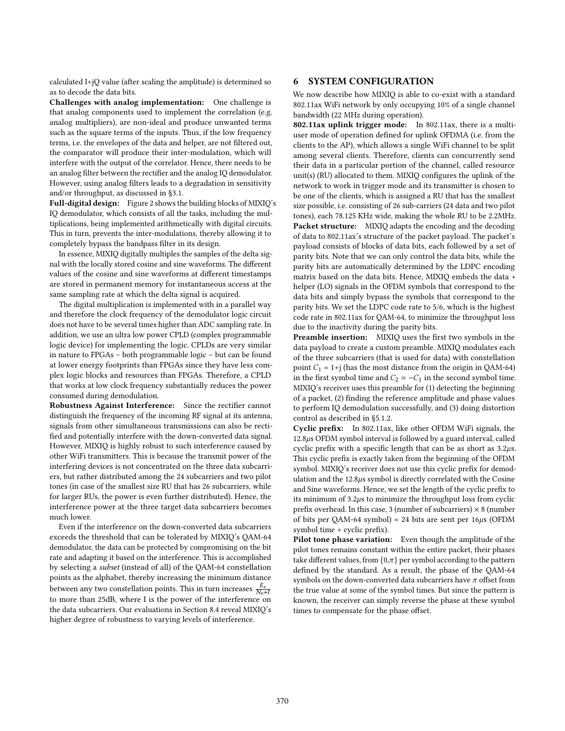calculated I+jQ value (after scaling the amplitude) is determined so as to decode the data bits.

Challenges with analog implementation: One challenge is that analog components used to implement the correlation (e.g. analog multipliers), are non-ideal and produce unwanted terms such as the square terms of the inputs. Thus, if the low frequency terms, i.e. the envelopes of the data and helper, are not filtered out, the comparator will produce their inter-modulation, which will interfere with the output of the correlator. Hence, there needs to be an analog filter between the rectifier and the analog IQ demodulator. However, using analog filters leads to a degradation in sensitivity and/or throughput, as discussed in [ğ3.1.](#page-2-3)

Full-digital design: Figure [2](#page-2-0) shows the building blocks of MIXIQ's IQ demodulator, which consists of all the tasks, including the multiplications, being implemented arithmetically with digital circuits. This in turn, prevents the inter-modulations, thereby allowing it to completely bypass the bandpass filter in its design.

In essence, MIXIQ digitally multiples the samples of the delta signal with the locally stored cosine and sine waveforms. The different values of the cosine and sine waveforms at different timestamps are stored in permanent memory for instantaneous access at the same sampling rate at which the delta signal is acquired.

The digital multiplication is implemented with in a parallel way and therefore the clock frequency of the demodulator logic circuit does not have to be several times higher than ADC sampling rate. In addition, we use an ultra low power CPLD (complex programmable logic device) for implementing the logic. CPLDs are very similar in nature to FPGAs - both programmable logic - but can be found at lower energy footprints than FPGAs since they have less complex logic blocks and resources than FPGAs. Therefore, a CPLD that works at low clock frequency substantially reduces the power consumed during demodulation.

Robustness Against Interference: Since the rectifier cannot distinguish the frequency of the incoming RF signal at its antenna, signals from other simultaneous transmissions can also be rectified and potentially interfere with the down-converted data signal. However, MIXIQ is highly robust to such interference caused by other WiFi transmitters. This is because the transmit power of the interfering devices is not concentrated on the three data subcarriers, but rather distributed among the 24 subcarriers and two pilot tones (in case of the smallest size RU that has 26 subcarriers, while for larger RUs, the power is even further distributed). Hence, the interference power at the three target data subcarriers becomes much lower.

Even if the interference on the down-converted data subcarriers exceeds the threshold that can be tolerated by MIXIQ's QAM-64 demodulator, the data can be protected by compromising on the bit rate and adapting it based on the interference. This is accomplished by selecting a subset (instead of all) of the QAM-64 constellation points as the alphabet, thereby increasing the minimum distance between any two constellation points. This in turn increases  $\frac{E_s}{N_0+1}$ to more than 25dB, where I is the power of the interference on the data subcarriers. Our evaluations in Section [8.4](#page-10-0) reveal MIXIQ's higher degree of robustness to varying levels of interference.

## 6 SYSTEM CONFIGURATION

We now describe how MIXIQ is able to co-exist with a standard 802.11ax WiFi network by only occupying 10% of a single channel bandwidth (22 MHz during operation).

802.11ax uplink trigger mode: In 802.11ax, there is a multiuser mode of operation defined for uplink OFDMA (i.e. from the clients to the AP), which allows a single WiFi channel to be split among several clients. Therefore, clients can concurrently send their data in a particular portion of the channel, called resource unit(s) (RU) allocated to them. MIXIQ configures the uplink of the network to work in trigger mode and its transmitter is chosen to be one of the clients, which is assigned a RU that has the smallest size possible, i.e. consisting of 26 sub-carriers (24 data and two pilot tones), each 78.125 KHz wide, making the whole RU to be 2.2MHz. Packet structure: MIXIQ adapts the encoding and the decoding of data to 802.11ax's structure of the packet payload. The packet's payload consists of blocks of data bits, each followed by a set of parity bits. Note that we can only control the data bits, while the parity bits are automatically determined by the LDPC encoding matrix based on the data bits. Hence, MIXIQ embeds the data + helper (LO) signals in the OFDM symbols that correspond to the data bits and simply bypass the symbols that correspond to the parity bits. We set the LDPC code rate to 5/6, which is the highest code rate in 802.11ax for QAM-64, to minimize the throughput loss due to the inactivity during the parity bits.

Preamble insertion: MIXIQ uses the first two symbols in the data payload to create a custom preamble. MIXIQ modulates each of the three subcarriers (that is used for data) with constellation point  $C_1 = 1+j$  (has the most distance from the origin in QAM-64) in the first symbol time and  $C_2 = -C_1$  in the second symbol time. MIXIQ's receiver uses this preamble for (1) detecting the beginning of a packet, (2) finding the reference amplitude and phase values to perform IQ demodulation successfully, and (3) doing distortion control as described in [ğ5.1.2.](#page-5-2)

Cyclic prefix: In 802.11ax, like other OFDM WiFi signals, the 12.8µs OFDM symbol interval is followed by a guard interval, called cyclic prefix with a specific length that can be as short as  $3.2 \mu s$ . This cyclic prefix is exactly taken from the beginning of the OFDM symbol. MIXIQ's receiver does not use this cyclic prefix for demodulation and the  $12.8\mu s$  symbol is directly correlated with the Cosine and Sine waveforms. Hence, we set the length of the cyclic prefix to its minimum of  $3.2\mu s$  to minimize the throughput loss from cyclic prefix overhead. In this case, 3 (number of subcarriers)  $\times$  8 (number of bits per QAM-64 symbol) = 24 bits are sent per  $16\mu s$  (OFDM symbol time + cyclic prefix).

Pilot tone phase variation: Even though the amplitude of the pilot tones remains constant within the entire packet, their phases take different values, from  $\{0,\pi\}$  per symbol according to the pattern defined by the standard. As a result, the phase of the QAM-64 symbols on the down-converted data subcarriers have  $\pi$  offset from the true value at some of the symbol times. But since the pattern is known, the receiver can simply reverse the phase at these symbol times to compensate for the phase offset.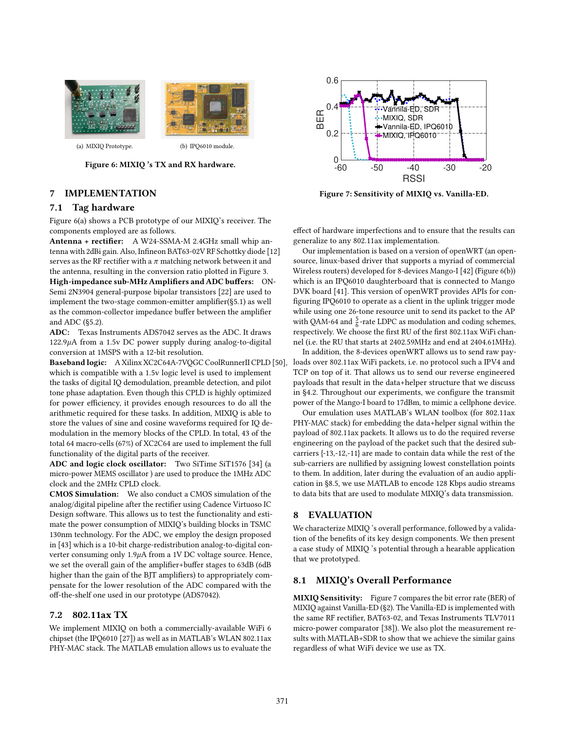<span id="page-7-0"></span>

(a) MIXIQ Prototype. (b) IPQ6010 module.

<span id="page-7-1"></span>

## Figure 6: MIXIQ 's TX and RX hardware.

# 7 IMPLEMENTATION

# 7.1 Tag hardware

Figure [6\(a\)](#page-7-0) shows a PCB prototype of our MIXIQ's receiver. The components employed are as follows.

Antenna + rectifier: A W24-SSMA-M 2.4GHz small whip antenna with 2dBi gain. Also, Infineon BAT63-02V RF Schottky diode [\[12\]](#page-12-20) serves as the RF rectifier with a  $\pi$  matching network between it and the antenna, resulting in the conversion ratio plotted in Figure [3.](#page-2-1) High-impedance sub-MHz Amplifiers and ADC buffers: ON-Semi 2N3904 general-purpose bipolar transistors [\[22\]](#page-12-26) are used to implement the two-stage common-emitter amplifier([ğ5.1\)](#page-5-3) as well as the common-collector impedance buffer between the amplifier and ADC ([ğ5.2\)](#page-5-4).

ADC: Texas Instruments ADS7042 serves as the ADC. It draws  $122.9\mu$ A from a 1.5v DC power supply during analog-to-digital conversion at 1MSPS with a 12-bit resolution.

Baseband logic: A Xilinx XC2C64A-7VQGC CoolRunnerII CPLD [\[50\]](#page-12-27), which is compatible with a 1.5v logic level is used to implement the tasks of digital IQ demodulation, preamble detection, and pilot tone phase adaptation. Even though this CPLD is highly optimized for power efficiency, it provides enough resources to do all the arithmetic required for these tasks. In addition, MIXIQ is able to store the values of sine and cosine waveforms required for IQ demodulation in the memory blocks of the CPLD. In total, 43 of the total 64 macro-cells (67%) of XC2C64 are used to implement the full functionality of the digital parts of the receiver.

ADC and logic clock oscillator: Two SiTime SiT1576 [\[34\]](#page-12-28) (a micro-power MEMS oscillator ) are used to produce the 1MHz ADC clock and the 2MHz CPLD clock.

CMOS Simulation: We also conduct a CMOS simulation of the analog/digital pipeline after the rectifier using Cadence Virtuoso IC Design software. This allows us to test the functionality and estimate the power consumption of MIXIQ's building blocks in TSMC 130nm technology. For the ADC, we employ the design proposed in [\[43\]](#page-12-24) which is a 10-bit charge-redistribution analog-to-digital converter consuming only  $1.9\mu$ A from a 1V DC voltage source. Hence, we set the overall gain of the amplifier+buffer stages to 63dB (6dB higher than the gain of the BJT amplifiers) to appropriately compensate for the lower resolution of the ADC compared with the off-the-shelf one used in our prototype (ADS7042).

# 7.2 802.11ax TX

We implement MIXIQ on both a commercially-available WiFi 6 chipset (the IPQ6010 [\[27\]](#page-12-16)) as well as in MATLAB's WLAN 802.11ax PHY-MAC stack. The MATLAB emulation allows us to evaluate the

<span id="page-7-2"></span>

Figure 7: Sensitivity of MIXIQ vs. Vanilla-ED.

effect of hardware imperfections and to ensure that the results can generalize to any 802.11ax implementation.

Our implementation is based on a version of openWRT (an opensource, linux-based driver that supports a myriad of commercial Wireless routers) developed for 8-devices Mango-I [\[42\]](#page-12-29) (Figure [6\(b\)\)](#page-7-1) which is an IPQ6010 daughterboard that is connected to Mango DVK board [\[41\]](#page-12-30). This version of openWRT provides APIs for configuring IPQ6010 to operate as a client in the uplink trigger mode while using one 26-tone resource unit to send its packet to the AP with QAM-64 and  $\frac{5}{6}$ -rate LDPC as modulation and coding schemes, respectively. We choose the first RU of the first 802.11ax WiFi channel (i.e. the RU that starts at 2402.59MHz and end at 2404.61MHz).

In addition, the 8-devices openWRT allows us to send raw payloads over 802.11ax WiFi packets, i.e. no protocol such a IPV4 and TCP on top of it. That allows us to send our reverse engineered payloads that result in the data+helper structure that we discuss in [ğ4.2.](#page-3-1) Throughout our experiments, we configure the transmit power of the Mango-I board to 17dBm, to mimic a cellphone device.

Our emulation uses MATLAB's WLAN toolbox (for 802.11ax PHY-MAC stack) for embedding the data+helper signal within the payload of 802.11ax packets. It allows us to do the required reverse engineering on the payload of the packet such that the desired subcarriers {-13,-12,-11} are made to contain data while the rest of the sub-carriers are nullified by assigning lowest constellation points to them. In addition, later during the evaluation of an audio application in [ğ8.5,](#page-10-1) we use MATLAB to encode 128 Kbps audio streams to data bits that are used to modulate MIXIQ's data transmission.

# 8 EVALUATION

We characterize MIXIQ 's overall performance, followed by a validation of the benefits of its key design components. We then present a case study of MIXIQ 's potential through a hearable application that we prototyped.

# <span id="page-7-3"></span>8.1 MIXIQ's Overall Performance

MIXIQ Sensitivity: Figure [7](#page-7-2) compares the bit error rate (BER) of MIXIQ against Vanilla-ED ([ğ2\)](#page-1-1). The Vanilla-ED is implemented with the same RF rectifier, BAT63-02, and Texas Instruments TLV7011 micro-power comparator [\[38\]](#page-12-31)). We also plot the measurement results with MATLAB+SDR to show that we achieve the similar gains regardless of what WiFi device we use as TX.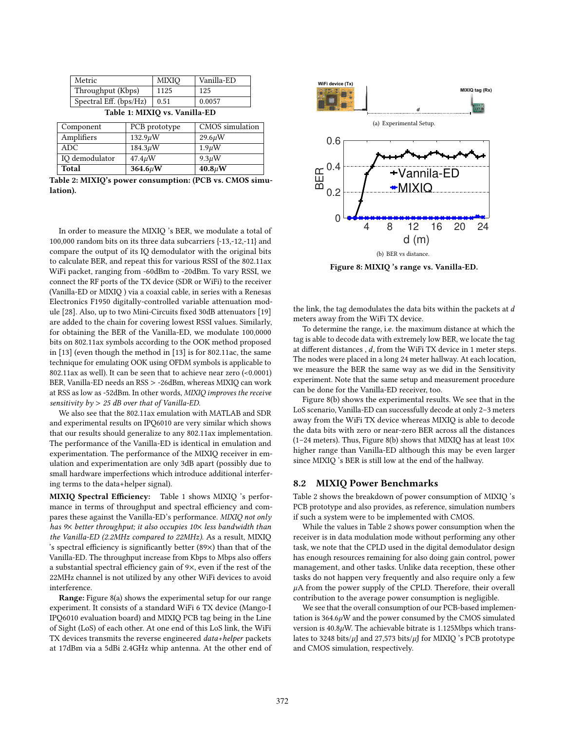<span id="page-8-0"></span>

| Metric                        | <b>MIXIO</b> | Vanilla-ED |  |  |  |
|-------------------------------|--------------|------------|--|--|--|
| Throughput (Kbps)             | 1125         | 125        |  |  |  |
| Spectral Eff. (bps/Hz)        | 0.51         | 0.0057     |  |  |  |
| Table 1: MIXIO vs. Vanilla-ED |              |            |  |  |  |

<span id="page-8-3"></span>

| Component      | PCB prototype | CMOS simulation |  |
|----------------|---------------|-----------------|--|
| Amplifiers     | $132.9 \mu W$ | $29.6 \mu W$    |  |
| ADC.           | $184.3 \mu W$ | $1.9 \mu W$     |  |
| IQ demodulator | $47.4 \mu W$  | $9.3 \mu W$     |  |
| Total          | $364.6 \mu W$ | $40.8 \mu W$    |  |

Table 2: MIXIQ's power consumption: (PCB vs. CMOS simulation).

In order to measure the MIXIQ 's BER, we modulate a total of 100,000 random bits on its three data subcarriers {-13,-12,-11} and compare the output of its IQ demodulator with the original bits to calculate BER, and repeat this for various RSSI of the 802.11ax WiFi packet, ranging from -60dBm to -20dBm. To vary RSSI, we connect the RF ports of the TX device (SDR or WiFi) to the receiver (Vanilla-ED or MIXIQ ) via a coaxial cable, in series with a Renesas Electronics F1950 digitally-controlled variable attenuation module [\[28\]](#page-12-32). Also, up to two Mini-Circuits fixed 30dB attenuators [\[19\]](#page-12-33) are added to the chain for covering lowest RSSI values. Similarly, for obtaining the BER of the Vanilla-ED, we modulate 100,0000 bits on 802.11ax symbols according to the OOK method proposed in [\[13\]](#page-12-1) (even though the method in [\[13\]](#page-12-1) is for 802.11ac, the same technique for emulating OOK using OFDM symbols is applicable to 802.11ax as well). It can be seen that to achieve near zero (<0.0001) BER, Vanilla-ED needs an RSS > -26dBm, whereas MIXIQ can work at RSS as low as -52dBm. In other words, MIXIQ improves the receive sensitivity by > 25 dB over that of Vanilla-ED.

We also see that the 802.11ax emulation with MATLAB and SDR and experimental results on IPQ6010 are very similar which shows that our results should generalize to any 802.11ax implementation. The performance of the Vanilla-ED is identical in emulation and experimentation. The performance of the MIXIQ receiver in emulation and experimentation are only 3dB apart (possibly due to small hardware imperfections which introduce additional interfering terms to the data+helper signal).

MIXIQ Spectral Efficiency: Table [1](#page-8-0) shows MIXIQ 's performance in terms of throughput and spectral efficiency and compares these against the Vanilla-ED's performance. MIXIQ not only has 9× better throughput; it also occupies 10× less bandwidth than the Vanilla-ED (2.2MHz compared to 22MHz). As a result, MIXIQ 's spectral efficiency is significantly better (89×) than that of the Vanilla-ED. The throughput increase from Kbps to Mbps also offers a substantial spectral efficiency gain of 9×, even if the rest of the 22MHz channel is not utilized by any other WiFi devices to avoid interference.

Range: Figure [8\(a\)](#page-8-1) shows the experimental setup for our range experiment. It consists of a standard WiFi 6 TX device (Mango-I IPQ6010 evaluation board) and MIXIQ PCB tag being in the Line of Sight (LoS) of each other. At one end of this LoS link, the WiFi TX devices transmits the reverse engineered data+helper packets at 17dBm via a 5dBi 2.4GHz whip antenna. At the other end of

<span id="page-8-1"></span>

<span id="page-8-2"></span>Figure 8: MIXIQ 's range vs. Vanilla-ED.

the link, the tag demodulates the data bits within the packets at  $d$ meters away from the WiFi TX device.

To determine the range, i.e. the maximum distance at which the tag is able to decode data with extremely low BER, we locate the tag at different distances,  $d$ , from the WiFi TX device in 1 meter steps. The nodes were placed in a long 24 meter hallway. At each location, we measure the BER the same way as we did in the Sensitivity experiment. Note that the same setup and measurement procedure can be done for the Vanilla-ED receiver, too.

Figure [8\(b\)](#page-8-2) shows the experimental results. We see that in the LoS scenario, Vanilla-ED can successfully decode at only 2-3 meters away from the WiFi TX device whereas MIXIQ is able to decode the data bits with zero or near-zero BER across all the distances (1-24 meters). Thus, Figure [8\(b\)](#page-8-2) shows that MIXIQ has at least  $10\times$ higher range than Vanilla-ED although this may be even larger since MIXIQ 's BER is still low at the end of the hallway.

## 8.2 MIXIQ Power Benchmarks

Table [2](#page-8-3) shows the breakdown of power consumption of MIXIQ 's PCB prototype and also provides, as reference, simulation numbers if such a system were to be implemented with CMOS.

While the values in Table [2](#page-8-3) shows power consumption when the receiver is in data modulation mode without performing any other task, we note that the CPLD used in the digital demodulator design has enough resources remaining for also doing gain control, power management, and other tasks. Unlike data reception, these other tasks do not happen very frequently and also require only a few  $\mu$ A from the power supply of the CPLD. Therefore, their overall contribution to the average power consumption is negligible.

We see that the overall consumption of our PCB-based implementation is  $364.6\mu$ W and the power consumed by the CMOS simulated version is  $40.8 \mu$ W. The achievable bitrate is 1.125Mbps which translates to 3248 bits/ $\mu$ J and 27,573 bits/ $\mu$ J for MIXIQ 's PCB prototype and CMOS simulation, respectively.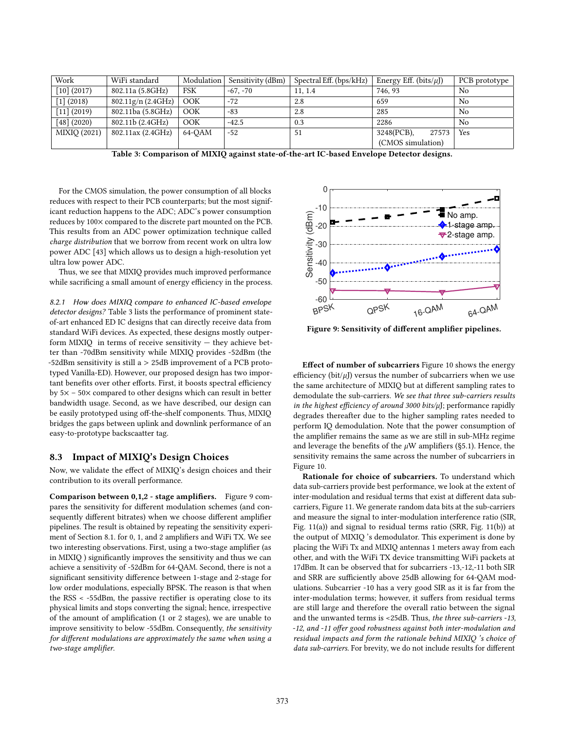<span id="page-9-0"></span>

| Work          | WiFi standard      | Modulation | Sensitivity (dBm) | Spectral Eff. (bps/kHz) | Energy Eff. (bits/ $\mu$ J) | PCB prototype  |
|---------------|--------------------|------------|-------------------|-------------------------|-----------------------------|----------------|
| $[10]$ (2017) | 802.11a (5.8GHz)   | <b>FSK</b> | $-67, -70$        | 11, 1.4                 | 746.93                      | No             |
| [1] (2018)    | 802.11g/n (2.4GHz) | OOK        | $-72$             | 2.8                     | 659                         | No             |
| [11] (2019)   | 802.11ba (5.8GHz)  | OOK        | $-83$             | 2.8                     | 285                         | N <sub>0</sub> |
| [48] (2020)   | 802.11b (2.4GHz)   | OOK        | $-42.5$           | 0.3                     | 2286                        | No             |
| MIXIQ (2021)  | 802.11ax (2.4GHz)  | 64-OAM     | $-52$             | 51                      | 3248(PCB),<br>27573         | Yes            |
|               |                    |            |                   |                         | (CMOS simulation)           |                |

Table 3: Comparison of MIXIQ against state-of-the-art IC-based Envelope Detector designs.

For the CMOS simulation, the power consumption of all blocks reduces with respect to their PCB counterparts; but the most significant reduction happens to the ADC; ADC's power consumption reduces by 100× compared to the discrete part mounted on the PCB. This results from an ADC power optimization technique called charge distribution that we borrow from recent work on ultra low power ADC [\[43\]](#page-12-24) which allows us to design a high-resolution yet ultra low power ADC.

Thus, we see that MIXIQ provides much improved performance while sacrificing a small amount of energy efficiency in the process.

8.2.1 How does MIXIQ compare to enhanced IC-based envelope detector designs? Table [3](#page-9-0) lists the performance of prominent stateof-art enhanced ED IC designs that can directly receive data from standard WiFi devices. As expected, these designs mostly outperform MIXIQ in terms of receive sensitivity  $-$  they achieve better than -70dBm sensitivity while MIXIQ provides -52dBm (the -52dBm sensitivity is still a > 25dB improvement of a PCB prototyped Vanilla-ED). However, our proposed design has two important benefits over other efforts. First, it boosts spectral efficiency by  $5x - 50x$  compared to other designs which can result in better bandwidth usage. Second, as we have described, our design can be easily prototyped using off-the-shelf components. Thus, MIXIQ bridges the gaps between uplink and downlink performance of an easy-to-prototype backscaatter tag.

#### 8.3 Impact of MIXIQ's Design Choices

Now, we validate the effect of MIXIQ's design choices and their contribution to its overall performance.

Comparison between 0,1,2 - stage amplifiers. Figure [9](#page-9-1) compares the sensitivity for different modulation schemes (and consequently different bitrates) when we choose different amplifier pipelines. The result is obtained by repeating the sensitivity experiment of Section 8.1. for 0, 1, and 2 amplifiers and WiFi TX. We see two interesting observations. First, using a two-stage amplifier (as in MIXIQ ) significantly improves the sensitivity and thus we can achieve a sensitivity of -52dBm for 64-QAM. Second, there is not a significant sensitivity difference between 1-stage and 2-stage for low order modulations, especially BPSK. The reason is that when the RSS < -55dBm, the passive rectifier is operating close to its physical limits and stops converting the signal; hence, irrespective of the amount of amplification (1 or 2 stages), we are unable to improve sensitivity to below -55dBm. Consequently, the sensitivity for different modulations are approximately the same when using a two-stage amplifier.

<span id="page-9-1"></span>

Figure 9: Sensitivity of different amplifier pipelines.

Effect of number of subcarriers Figure [10](#page-10-2) shows the energy efficiency (bit/ $\mu$ J) versus the number of subcarriers when we use the same architecture of MIXIQ but at different sampling rates to demodulate the sub-carriers. We see that three sub-carriers results in the highest efficiency of around 3000 bits/ $\mu$ J; performance rapidly degrades thereafter due to the higher sampling rates needed to perform IQ demodulation. Note that the power consumption of the amplifier remains the same as we are still in sub-MHz regime and leverage the benefits of the  $\mu\text{W}$  amplifiers (§5.1). Hence, the sensitivity remains the same across the number of subcarriers in Figure [10.](#page-10-2)

Rationale for choice of subcarriers. To understand which data sub-carriers provide best performance, we look at the extent of inter-modulation and residual terms that exist at different data subcarriers, Figure [11.](#page-10-2) We generate random data bits at the sub-carriers and measure the signal to inter-modulation interference ratio (SIR, Fig. [11\(a\)\)](#page-10-3) and signal to residual terms ratio (SRR, Fig. [11\(b\)\)](#page-10-4) at the output of MIXIQ 's demodulator. This experiment is done by placing the WiFi Tx and MIXIQ antennas 1 meters away from each other, and with the WiFi TX device transmitting WiFi packets at 17dBm. It can be observed that for subcarriers -13,-12,-11 both SIR and SRR are sufficiently above 25dB allowing for 64-QAM modulations. Subcarrier -10 has a very good SIR as it is far from the inter-modulation terms; however, it suffers from residual terms are still large and therefore the overall ratio between the signal and the unwanted terms is <25dB. Thus, the three sub-carriers -13, -12, and -11 offer good robustness against both inter-modulation and residual impacts and form the rationale behind MIXIQ 's choice of data sub-carriers. For brevity, we do not include results for different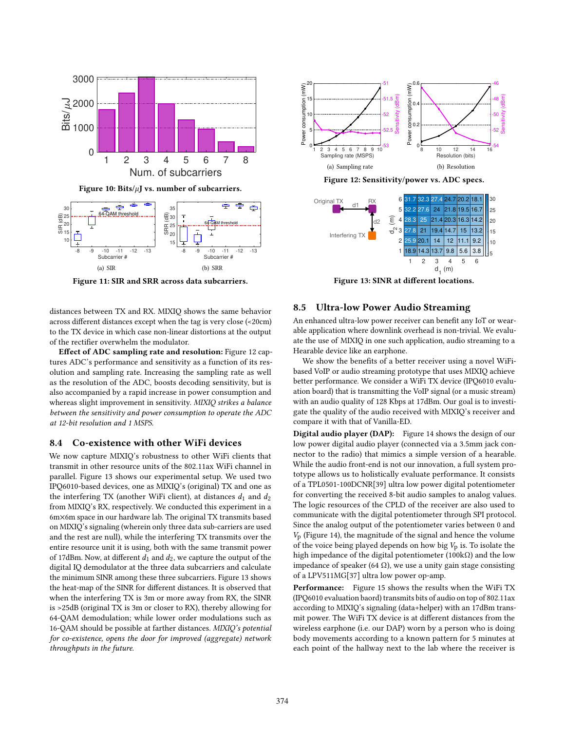<span id="page-10-2"></span>

<span id="page-10-4"></span><span id="page-10-3"></span>Figure 11: SIR and SRR across data subcarriers.

distances between TX and RX. MIXIQ shows the same behavior across different distances except when the tag is very close (<20cm) to the TX device in which case non-linear distortions at the output of the rectifier overwhelm the modulator.

Effect of ADC sampling rate and resolution: Figure [12](#page-10-5) captures ADC's performance and sensitivity as a function of its resolution and sampling rate. Increasing the sampling rate as well as the resolution of the ADC, boosts decoding sensitivity, but is also accompanied by a rapid increase in power consumption and whereas slight improvement in sensitivity. MIXIQ strikes a balance between the sensitivity and power consumption to operate the ADC at 12-bit resolution and 1 MSPS.

#### <span id="page-10-0"></span>8.4 Co-existence with other WiFi devices

We now capture MIXIQ's robustness to other WiFi clients that transmit in other resource units of the 802.11ax WiFi channel in parallel. Figure [13](#page-10-6) shows our experimental setup. We used two IPQ6010-based devices, one as MIXIQ's (original) TX and one as the interfering TX (another WiFi client), at distances  $d_1$  and  $d_2$ from MIXIQ's RX, respectively. We conducted this experiment in a 6m×6m space in our hardware lab. The original TX transmits based on MIXIQ's signaling (wherein only three data sub-carriers are used and the rest are null), while the interfering TX transmits over the entire resource unit it is using, both with the same transmit power of 17dBm. Now, at different  $d_1$  and  $d_2$ , we capture the output of the digital IQ demodulator at the three data subcarriers and calculate the minimum SINR among these three subcarriers. Figure [13](#page-10-6) shows the heat-map of the SINR for different distances. It is observed that when the interfering TX is 3m or more away from RX, the SINR is >25dB (original TX is 3m or closer to RX), thereby allowing for 64-QAM demodulation; while lower order modulations such as 16-QAM should be possible at farther distances. MIXIQ's potential for co-existence, opens the door for improved (aggregate) network throughputs in the future.

<span id="page-10-5"></span>

<span id="page-10-6"></span>Interfering TX 1 2 3 4 5 6 d 1 (m) 3 2 1 d 2 (m) 18.9 14.3 13.7 21 20.1 19.4 14.7 14 12 9.8 15 11.1 5.6 13.2 9.2 3.8 27.8 25.9 5  $10$ 15

Figure 13: SINR at different locations.

#### <span id="page-10-1"></span>8.5 Ultra-low Power Audio Streaming

An enhanced ultra-low power receiver can benefit any IoT or wearable application where downlink overhead is non-trivial. We evaluate the use of MIXIQ in one such application, audio streaming to a Hearable device like an earphone.

We show the benefits of a better receiver using a novel WiFibased VoIP or audio streaming prototype that uses MIXIQ achieve better performance. We consider a WiFi TX device (IPQ6010 evaluation board) that is transmitting the VoIP signal (or a music stream) with an audio quality of 128 Kbps at 17dBm. Our goal is to investigate the quality of the audio received with MIXIQ's receiver and compare it with that of Vanilla-ED.

Digital audio player (DAP): Figure [14](#page-11-0) shows the design of our low power digital audio player (connected via a 3.5mm jack connector to the radio) that mimics a simple version of a hearable. While the audio front-end is not our innovation, a full system prototype allows us to holistically evaluate performance. It consists of a TPL0501-100DCNR[\[39\]](#page-12-38) ultra low power digital potentiometer for converting the received 8-bit audio samples to analog values. The logic resources of the CPLD of the receiver are also used to communicate with the digital potentiometer through SPI protocol. Since the analog output of the potentiometer varies between 0 and  $V<sub>p</sub>$  (Figure [14\)](#page-11-0), the magnitude of the signal and hence the volume of the voice being played depends on how big  $V<sub>p</sub>$  is. To isolate the high impedance of the digital potentiometer (100kΩ) and the low impedance of speaker (64 Ω), we use a unity gain stage consisting of a LPV511MG[\[37\]](#page-12-39) ultra low power op-amp.

Performance: Figure [15](#page-11-1) shows the results when the WiFi TX (IPQ6010 evaluation baord) transmits bits of audio on top of 802.11ax according to MIXIQ's signaling (data+helper) with an 17dBm transmit power. The WiFi TX device is at different distances from the wireless earphone (i.e. our DAP) worn by a person who is doing body movements according to a known pattern for 5 minutes at each point of the hallway next to the lab where the receiver is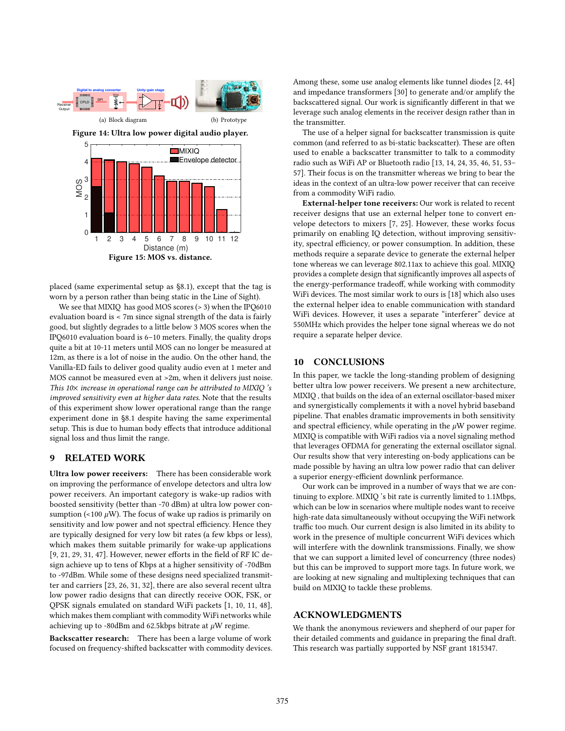<span id="page-11-1"></span><span id="page-11-0"></span>

placed (same experimental setup as [ğ8.1\)](#page-7-3), except that the tag is worn by a person rather than being static in the Line of Sight).

We see that MIXIQ has good MOS scores (> 3) when the IPQ6010 evaluation board is < 7m since signal strength of the data is fairly good, but slightly degrades to a little below 3 MOS scores when the IPQ6010 evaluation board is  $6-10$  meters. Finally, the quality drops quite a bit at 10-11 meters until MOS can no longer be measured at 12m, as there is a lot of noise in the audio. On the other hand, the Vanilla-ED fails to deliver good quality audio even at 1 meter and MOS cannot be measured even at >2m, when it delivers just noise. This 10 $\times$  increase in operational range can be attributed to MIXIQ 's improved sensitivity even at higher data rates. Note that the results of this experiment show lower operational range than the range experiment done in [ğ8.1](#page-7-3) despite having the same experimental setup. This is due to human body effects that introduce additional signal loss and thus limit the range.

#### 9 RELATED WORK

Ultra low power receivers: There has been considerable work on improving the performance of envelope detectors and ultra low power receivers. An important category is wake-up radios with boosted sensitivity (better than -70 dBm) at ultra low power consumption (<100  $\mu$ W). The focus of wake up radios is primarily on sensitivity and low power and not spectral efficiency. Hence they are typically designed for very low bit rates (a few kbps or less), which makes them suitable primarily for wake-up applications [\[9,](#page-12-40) [21,](#page-12-41) [29,](#page-12-42) [31,](#page-12-43) [47\]](#page-12-44). However, newer efforts in the field of RF IC design achieve up to tens of Kbps at a higher sensitivity of -70dBm to -97dBm. While some of these designs need specialized transmitter and carriers [\[23,](#page-12-45) [26,](#page-12-46) [31,](#page-12-43) [32\]](#page-12-47), there are also several recent ultra low power radio designs that can directly receive OOK, FSK, or QPSK signals emulated on standard WiFi packets [\[1,](#page-12-35) [10,](#page-12-34) [11,](#page-12-36) [48\]](#page-12-37), which makes them compliant with commodity WiFi networks while achieving up to -80dBm and 62.5kbps bitrate at  $\mu$ W regime.

Backscatter research: There has been a large volume of work focused on frequency-shifted backscatter with commodity devices. Among these, some use analog elements like tunnel diodes [\[2,](#page-12-48) [44\]](#page-12-49) and impedance transformers [\[30\]](#page-12-15) to generate and/or amplify the backscattered signal. Our work is significantly different in that we leverage such analog elements in the receiver design rather than in the transmitter.

The use of a helper signal for backscatter transmission is quite common (and referred to as bi-static backscatter). These are often used to enable a backscatter transmitter to talk to a commodity radio such as WiFi AP or Bluetooth radio [\[13,](#page-12-1) [14,](#page-12-2) [24,](#page-12-4) [35,](#page-12-5) [46,](#page-12-50) [51,](#page-12-51) 53-[57\]](#page-13-0). Their focus is on the transmitter whereas we bring to bear the ideas in the context of an ultra-low power receiver that can receive from a commodity WiFi radio.

External-helper tone receivers: Our work is related to recent receiver designs that use an external helper tone to convert envelope detectors to mixers [\[7,](#page-12-52) [25\]](#page-12-22). However, these works focus primarily on enabling IQ detection, without improving sensitivity, spectral efficiency, or power consumption. In addition, these methods require a separate device to generate the external helper tone whereas we can leverage 802.11ax to achieve this goal. MIXIQ provides a complete design that significantly improves all aspects of the energy-performance tradeoff, while working with commodity WiFi devices. The most similar work to ours is [\[18\]](#page-12-19) which also uses the external helper idea to enable communication with standard WiFi devices. However, it uses a separate "interferer" device at 550MHz which provides the helper tone signal whereas we do not require a separate helper device.

#### 10 CONCLUSIONS

In this paper, we tackle the long-standing problem of designing better ultra low power receivers. We present a new architecture, MIXIQ , that builds on the idea of an external oscillator-based mixer and synergistically complements it with a novel hybrid baseband pipeline. That enables dramatic improvements in both sensitivity and spectral efficiency, while operating in the  $\mu$ W power regime. MIXIQ is compatible with WiFi radios via a novel signaling method that leverages OFDMA for generating the external oscillator signal. Our results show that very interesting on-body applications can be made possible by having an ultra low power radio that can deliver a superior energy-efficient downlink performance.

Our work can be improved in a number of ways that we are continuing to explore. MIXIQ 's bit rate is currently limited to 1.1Mbps, which can be low in scenarios where multiple nodes want to receive high-rate data simultaneously without occupying the WiFi network traffic too much. Our current design is also limited in its ability to work in the presence of multiple concurrent WiFi devices which will interfere with the downlink transmissions. Finally, we show that we can support a limited level of concurrency (three nodes) but this can be improved to support more tags. In future work, we are looking at new signaling and multiplexing techniques that can build on MIXIQ to tackle these problems.

# ACKNOWLEDGMENTS

We thank the anonymous reviewers and shepherd of our paper for their detailed comments and guidance in preparing the final draft. This research was partially supported by NSF grant 1815347.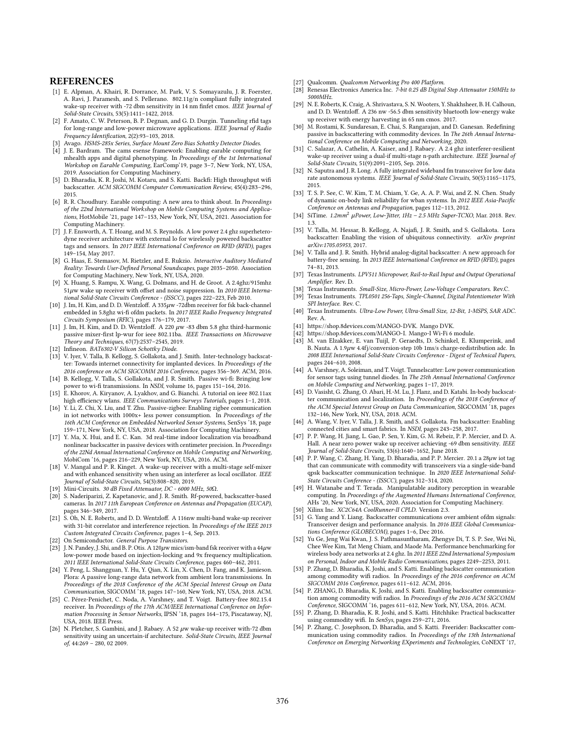#### REFERENCES

- <span id="page-12-35"></span>[1] E. Alpman, A. Khairi, R. Dorrance, M. Park, V. S. Somayazulu, J. R. Foerster, A. Ravi, J. Paramesh, and S. Pellerano. 802.11g/n compliant fully integrated wake-up receiver with -72 dbm sensitivity in 14 nm finfet cmos. IEEE Journal of Solid-State Circuits, 53(5):1411-1422, 2018.
- <span id="page-12-48"></span>[2] F. Amato, C. W. Peterson, B. P. Degnan, and G. D. Durgin. Tunneling rfid tags for long-range and low-power microwave applications. IEEE Journal of Radio Frequency Identification, 2(2):93-103, 2018.
- <span id="page-12-21"></span>[3] Avago. HSMS-285x Series, Surface Mount Zero Bias Schottky Detector Diodes.
- <span id="page-12-9"></span>[4] J. E. Bardram. The cams esense framework: Enabling earable computing for mhealth apps and digital phenotyping. In Proceedings of the 1st International Workshop on Earable Computing, EarComp'19, page 3-7, New York, NY, USA, 2019. Association for Computing Machinery.
- <span id="page-12-0"></span>[5] D. Bharadia, K. R. Joshi, M. Kotaru, and S. Katti. Backfi: High throughput wifi backscatter. ACM SIGCOMM Computer Communication Review, 45(4):283-296, 2015.
- <span id="page-12-10"></span>[6] R. R. Choudhury. Earable computing: A new area to think about. In Proceedings of the 22nd International Workshop on Mobile Computing Systems and Applications, HotMobile '21, page 147-153, New York, NY, USA, 2021. Association for Computing Machinery.
- <span id="page-12-52"></span>[7] J. F. Ensworth, A. T. Hoang, and M. S. Reynolds. A low power 2.4 ghz superheterodyne receiver architecture with external lo for wirelessly powered backscatter tags and sensors. In 2017 IEEE International Conference on RFID (RFID), pages 149-154, May 2017.
- <span id="page-12-11"></span>[8] G. Haas, E. Stemasov, M. Rietzler, and E. Rukzio. Interactive Auditory Mediated Reality: Towards User-Defined Personal Soundscapes, page 2035-2050. Association for Computing Machinery, New York, NY, USA, 2020.
- <span id="page-12-40"></span>[9] X. Huang, S. Rampu, X. Wang, G. Dolmans, and H. de Groot. A 2.4ghz/915mhz  $51\mu$ w wake up receiver with offset and noise suppression. In 2010 IEEE International Solid-State Circuits Conference - (ISSCC), pages 222-223, Feb 2010.
- <span id="page-12-34"></span>[10] J. Im, H. Kim, and D. D. Wentzloff. A  $335\mu$ w -72 $\hat{d}$ bm receiver for fsk back-channel embedded in 5.8ghz wi-fi ofdm packets. In 2017 IEEE Radio Frequency Integrated Circuits Symposium (RFIC), pages 176-179, 2017.
- <span id="page-12-36"></span> $[11]$  J. Im, H. Kim, and D. D. Wentzloff. A 220  $\mu\text{w}$  -83 dbm 5.8 ghz third-harmonic passive mixer-first lp-wur for ieee 802.11ba. IEEE Transactions on Microwave Theory and Techniques,  $67(7)$ :2537-2545, 2019.
- <span id="page-12-20"></span>[12] Infineon. BAT6302-V Silicon Schottky Diode.
- <span id="page-12-1"></span>[13] V. Iyer, V. Talla, B. Kellogg, S. Gollakota, and J. Smith. Inter-technology backscatter: Towards internet connectivity for implanted devices. In Proceedings of the  $2016$  conference on ACM SIGCOMM  $2016$  Conference, pages 356-369. ACM, 2016.
- <span id="page-12-2"></span>[14] B. Kellogg, V. Talla, S. Gollakota, and J. R. Smith. Passive wi-fi: Bringing low power to wi-fi transmissions. In NSDI, volume 16, pages 151-164, 2016.
- <span id="page-12-25"></span>[15] E. Khorov, A. Kiryanov, A. Lyakhov, and G. Bianchi. A tutorial on ieee 802.11ax high efficiency wlans. IEEE Communications Surveys Tutorials, pages 1-1, 2018.
- <span id="page-12-3"></span>[16] Y. Li, Z. Chi, X. Liu, and T. Zhu. Passive-zigbee: Enabling zigbee communication in iot networks with 1000x+ less power consumption. In Proceedings of the 16th ACM Conference on Embedded Networked Sensor Systems, SenSys '18, page 159-171, New York, NY, USA, 2018. Association for Computing Machinery.
- <span id="page-12-13"></span>[17] Y. Ma, X. Hui, and E. C. Kan. 3d real-time indoor localization via broadband nonlinear backscatter in passive devices with centimeter precision. In Proceedings of the 22Nd Annual International Conference on Mobile Computing and Networking, MobiCom '16, pages 216-229, New York, NY, USA, 2016. ACM.
- <span id="page-12-19"></span>[18] V. Mangal and P. R. Kinget. A wake-up receiver with a multi-stage self-mixer and with enhanced sensitivity when using an interferer as local oscillator. IEEE Journal of Solid-State Circuits, 54(3):808-820, 2019.
- <span id="page-12-33"></span>[19] Mini-Circuits. 30 dB Fixed Attenuator, DC - 6000 MHz, 50Ω.
- <span id="page-12-7"></span>[20] S. Naderiparizi, Z. Kapetanovic, and J. R. Smith. Rf-powered, backscatter-based cameras. In 2017 11th European Conference on Antennas and Propagation (EUCAP), pages 346-349, 2017.
- <span id="page-12-41"></span>[21] S. Oh, N. E. Roberts, and D. D. Wentzloff. A 116nw multi-band wake-up receiver with 31-bit correlator and interference rejection. In Proceedings of the IEEE 2013 Custom Integrated Circuits Conference, pages 1-4, Sep. 2013.
- <span id="page-12-26"></span>On Semiconductor. General Purpose Transistors.
- <span id="page-12-45"></span>[23] J. N. Pandey, J. Shi, and B. P. Otis. A 120 $\mu$ w mics/ism-band fsk receiver with a 44 $\mu$ w low-power mode based on injection-locking and 9x frequency multiplication. 2011 IEEE International Solid-State Circuits Conference, pages 460-462, 2011.
- <span id="page-12-4"></span>[24] Y. Peng, L. Shangguan, Y. Hu, Y. Qian, X. Lin, X. Chen, D. Fang, and K. Jamieson. Plora: A passive long-range data network from ambient lora transmissions. In Proceedings of the 2018 Conference of the ACM Special Interest Group on Data Communication, SIGCOMM '18, pages 147-160, New York, NY, USA, 2018. ACM.
- <span id="page-12-22"></span>[25] C. Pérez-Penichet, C. Noda, A. Varshney, and T. Voigt. Battery-free 802.15.4 receiver. In Proceedings of the 17th ACM/IEEE International Conference on Information Processing in Sensor Networks, IPSN '18, pages 164-175, Piscataway, NJ, USA, 2018. IEEE Press.
- <span id="page-12-46"></span>[26] N. Pletcher, S. Gambini, and J. Rabaey. A 52  $\mu$ w wake-up receiver with-72 dbm sensitivity using an uncertain-if architecture. Solid-State Circuits, IEEE Journal  $of, 44:269 - 280, 022009.$
- <span id="page-12-16"></span>[27] Qualcomm. *Qualcomm Networking Pro 400 Platform*<br>[28] Renesas Electronics America Inc. 7-bit 0.25 dB Divita
- <span id="page-12-32"></span>Renesas Electronics America Inc. 7-bit 0.25 dB Digital Step Attenuator 150MHz to 5000MHz.
- <span id="page-12-42"></span>[29] N. E. Roberts, K. Craig, A. Shrivastava, S. N. Wooters, Y. Shakhsheer, B. H. Calhoun, and D. D. Wentzloff. A 236 nw -56.5 dbm sensitivity bluetooth low-energy wake up receiver with energy harvesting in 65 nm cmos. 2017.
- <span id="page-12-15"></span>[30] M. Rostami, K. Sundaresan, E. Chai, S. Rangarajan, and D. Ganesan. Redefining passive in backscattering with commodity devices. In The 26th Annual International Conference on Mobile Computing and Networking, 2020.
- <span id="page-12-43"></span>[31] C. Salazar, A. Cathelin, A. Kaiser, and J. Rabaey. A 2.4 ghz interferer-resilient wake-up receiver using a dual-if multi-stage n-path architecture. IEEE Journal of Solid-State Circuits, 51(9):2091-2105, Sep. 2016.
- <span id="page-12-47"></span>[32] N. Saputra and J. R. Long. A fully integrated wideband fm transceiver for low data rate autonomous systems. IEEE Journal of Solid-State Circuits, 50(5):1165-1175, 2015.
- <span id="page-12-17"></span>[33] T. S. P. See, C. W. Kim, T. M. Chiam, Y. Ge, A. A. P. Wai, and Z. N. Chen. Study of dynamic on-body link reliability for wban systems. In 2012 IEEE Asia-Pacific Conference on Antennas and Propagation, pages 112-113, 2012.
- <span id="page-12-28"></span>[34] SiTime.  $1.2mm^2$  µPower, Low-Jitter, 1Hz - 2.5 MHz Super-TCXO, Mar. 2018. Rev. 1.3.
- <span id="page-12-5"></span>[35] V. Talla, M. Hessar, B. Kellogg, A. Najafi, J. R. Smith, and S. Gollakota. Lora backscatter: Enabling the vision of ubiquitous connectivity. arXiv preprint arXiv:1705.05953, 2017.
- <span id="page-12-8"></span>[36] V. Talla and J. R. Smith. Hybrid analog-digital backscatter: A new approach for battery-free sensing. In 2013 IEEE International Conference on RFID (RFID), pages  $74 - 81, 2013.$
- <span id="page-12-39"></span>[37] Texas Instruments. LPV511 Micropower, Rail-to-Rail Input and Output Operational Amplifier. Rev. D.
- <span id="page-12-31"></span>[38] Texas Instruments. Small-Size, Micro-Power, Low-Voltage Comparators. Rev.C.<br>[39] Texas Instruments. TPL0501 256-Taps, Single-Channel, Digital Potentiometer Wi
- <span id="page-12-38"></span>Texas Instruments. TPL0501 256-Taps, Single-Channel, Digital Potentiometer With SPI Interface. Rev. C.
- <span id="page-12-23"></span>[40] Texas Instruments. Ultra-Low Power, Ultra-Small Size, 12-Bit, 1-MSPS, SAR ADC. Rev. A.
- <span id="page-12-30"></span>[41] [https://shop.8devices.com/MANGO-DVK.](https://shop.8devices.com/MANGO-DVK) Mango DVK.
- <span id="page-12-29"></span>[42] [https://shop.8devices.com/MANGO-I.](https://shop.8devices.com/MANGO-I) Mango-I Wi-Fi 6 module.
- <span id="page-12-24"></span>[43] M. van Elzakker, E. van Tuijl, P. Geraedts, D. Schinkel, E. Klumperink, and B. Nauta. A  $1.9\mu$ w  $4.4f$ j/conversion-step 10b 1ms/s charge-redistribution adc. In 2008 IEEE International Solid-State Circuits Conference - Digest of Technical Papers, pages 244-610, 2008.
- <span id="page-12-49"></span>[44] A. Varshney, A. Soleiman, and T. Voigt. Tunnelscatter: Low power communication for sensor tags using tunnel diodes. In The 25th Annual International Conference on Mobile Computing and Networking, pages 1-17, 2019.
- <span id="page-12-14"></span>[45] D. Vasisht, G. Zhang, O. Abari, H.-M. Lu, J. Flanz, and D. Katabi. In-body backscatter communication and localization. In Proceedings of the 2018 Conference of the ACM Special Interest Group on Data Communication, SIGCOMM '18, pages 132-146, New York, NY, USA, 2018, ACM
- <span id="page-12-50"></span>[46] A. Wang, V. Iyer, V. Talla, J. R. Smith, and S. Gollakota. Fm backscatter: Enabling connected cities and smart fabrics. In NSDI, pages 243-258, 2017.
- <span id="page-12-44"></span>[47] P. P. Wang, H. Jiang, L. Gao, P. Sen, Y. Kim, G. M. Rebeiz, P. P. Mercier, and D. A. Hall. A near zero power wake up receiver achieving -69 dbm sensitivity. IEEE Journal of Solid-State Circuits, 53(6):1640-1652, June 2018.
- <span id="page-12-37"></span>[48] P. P. Wang, C. Zhang, H. Yang, D. Bharadia, and P. P. Mercier. 20.1 a 28µw iot tag that can communicate with commodity wifi transceivers via a single-side-band qpsk backscatter communication technique. In 2020 IEEE International Solid-State Circuits Conference - (ISSCC), pages 312-314, 2020.
- <span id="page-12-12"></span>[49] H. Watanabe and T. Terada. Manipulatable auditory perception in wearable computing. In Proceedings of the Augmented Humans International Conference, AHs '20, New York, NY, USA, 2020. Association for Computing Machinery.
- <span id="page-12-27"></span>[50] Xilinx Inc. XC2C64A CoolRunner-II CPLD. Version 2.3.
- <span id="page-12-51"></span>[51] G. Yang and Y. Liang. Backscatter communications over ambient ofdm signals: Transceiver design and performance analysis. In 2016 IEEE Global Communications Conference (GLOBECOM), pages  $1-6$ , Dec 2016.
- <span id="page-12-18"></span>[52] Yu Ge, Jeng Wai Kwan, J. S. Pathmasuntharam, Zhengye Di, T. S. P. See, Wei Ni, Chee Wee Kim, Tat Meng Chiam, and Maode Ma. Performance benchmarking for wireless body area networks at 2.4 ghz. In 2011 IEEE 22nd International Symposium on Personal, Indoor and Mobile Radio Communications, pages 2249-2253, 2011.
- <span id="page-12-6"></span>[53] P. Zhang, D. Bharadia, K. Joshi, and S. Katti. Enabling backscatter communication among commodity wifi radios. In Proceedings of the 2016 conference on ACM SIGCOMM 2016 Conference, pages 611-612. ACM, 2016.
- [54] P. ZHANG, D. Bharadia, K. Joshi, and S. Katti. Enabling backscatter communication among commodity wifi radios. In Proceedings of the 2016 ACM SIGCOMM Conference, SIGCOMM '16, pages 611-612, New York, NY, USA, 2016. ACM.
- [55] P. Zhang, D. Bharadia, K. R. Joshi, and S. Katti. Hitchhike: Practical backscatter using commodity wifi. In SenSys, pages 259-271, 2016.
- [56] P. Zhang, C. Josephson, D. Bharadia, and S. Katti. Freerider: Backscatter communication using commodity radios. In Proceedings of the 13th International Conference on Emerging Networking EXperiments and Technologies, CoNEXT '17,